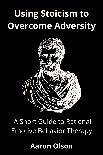# **Using Stoicism to Overcome Adversity**



## A Short Guide to Rational **Emotive Behavior Therapy**

## **Aaron Olson**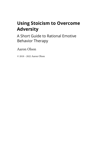### **Using Stoicism to Overcome Adversity**

A Short Guide to Rational Emotive Behavior Therapy

Aaron Olson

© 2018 - 2022 Aaron Olson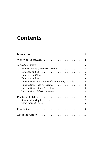### **C[ontent](#page-8-0)[s](#page-9-0)**

|                                                    | $\mathbf{1}$            |
|----------------------------------------------------|-------------------------|
|                                                    | $\overline{\mathbf{c}}$ |
|                                                    | 5                       |
| How We Make Ourselves Miserable                    | 5                       |
| Demands on Self                                    | 6                       |
|                                                    | 7                       |
|                                                    | 8                       |
| Unconditional Acceptance of Self, Others, and Life | 9                       |
| Unconditional Self-Acceptance                      | 10                      |
| Unconditional Other-Acceptance                     | 10                      |
| Unconditional Life-Acceptance                      | 11                      |
|                                                    | 12                      |
| Shame-Attacking Exercises                          | 12                      |
|                                                    | 13                      |
|                                                    | 15                      |
|                                                    | 16                      |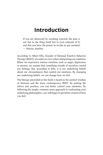### **Introduction**

If you are distressed by anything external, the pain is not due to the thing itself, but to your estimate of it; and this you have the power to revoke at any moment. ― Marcus Aurelius

According to Albert Ellis, founder of Rational Emotive Behavior Therapy (REBT), we make an error when interpreting our emotions. When we experience intense emotions such as anger, depression, or anxiety, we assume that something outside of ourselves caused our feelings. But, according to Ellis, it is our underlying beliefs about our circumstances that control our emotions. By changing our underlying beliefs, we can change how we feel.

The therapy presented in this book is based on the ancient wisdom of Stoicism and the more contemporary REBT. By putting the advice into practice, you can better control your emotions. By following the simple, common-sense approach to confronting your underlying philosophies, you will begin to get better control of how you feel.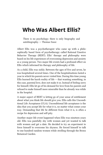### **Who Was Albert Ellis?**

There is no psychology; there is only biography and autobiography. — Thomas Szasz

Albert Ellis was a psychotherapist who came up with a philosophically based form of psychotherapy called Rational Emotive Behavior Therapy (REBT). Ellis' therapy and philosophy were based on his life experiences of overcoming depression and anxiety as a young person. Two major life events had a profound effect on Ellis which informed his therapy and philosophy of life.

As a child, Ellis was sickly. Between the ages of five and seven, he was hospitalized several times. One of the hospitalizations lasted a year in which his parents never visited him. During this time young Ellis learned the harsh reality of life  $-$  that wanting something, in this case, parental love, does not make it so. Instead of feeling sorry for himself, Ellis let go of his demand for love from his parents and refused to make himself more miserable than he already was while in the hospital.

A major aspect of REBT is letting go of your sense of entitlement about what you think life should give you. Ellis calls this Unconditional Life Acceptance (ULA). Unconditional life acceptance is the idea that you accept life for what it is, no matter what comes your way. Demanding that life be different from what it is, is often a recipe for depression and self-pity.

Another major life event happened when Ellis was nineteen years old. Ellis was painfully shy with women and yet wanted to talk with women and get a date. He decided to try an experiment to force himself to overcome his shyness. He forced himself to talk to one hundred random women while strolling through the Bronx Botanical Garden.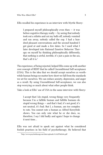Who Was Albert Ellis? 3

Ellis recalled his ex[p](#page-5-0)erience in an interview with Myrtle Heery:

I prepared myself philosophically even then  $-$  it was before cognitive therapy really  $-$  by seeing that nobody took out a stiletto and cut my balls off, nobody vomited and ran away, nobody called the cop. I had a hundred pleasant conversations and the second hundred I got good at and made a few dates. So I used what I later developed into Rational Emotive Behavior Therapy on myself by thinking philosophically differently, that nothing is awful, terrible, it's just a pain in the ass, that's all it is.<sup>1</sup>

The experience, of being rejected, helped Ellis come up with another core concept of REBT that he called Unconditional Self-acceptance (USA). This is the idea that we should accept ourselves as worthwhile human beings no matter how short we fall from the standards we set for ourselves. We can reduce anxiety, depression, and anger as a result. By using Unconditional Self-acceptance, we can also stop worrying so much about what other people think.

Take a look at Ellis' use of USA in the same interview with Heery:

<span id="page-5-0"></span>I accept that I do stupid, wrong things very frequently because I'm a fallible human and fallible humans do stupid wrong things — and that's bad, it's not good, it's not neutral, it's bad. But I, a human, am too complex to rate. You cannot rate a human as Alfred Korzybski shows. You can only rate what he or she does, so, therefore, I say I did badly and again I hope to change it next time…

Ellis was not afraid to speak out against what he considered foolish practices in his field of psychotherapy. He believed that

¹http://www.psychotherapy.net/data/uploads/51102f7bd269e.pdf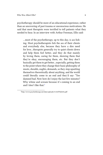Who Was Albert Ellis? 4

psychotherapy should be more of an educational experience, rather than an uncovering of past trauma or unconscious motivations. He said that most therapists were terrified to tell patients what they needed to hear. In an interview with Arthur Freeman, Ellis said:

<span id="page-6-0"></span>…most of the psychotherapy, up to this day, is ass-licking. Most psychotherapists lick the ass of their clients and everybody else, because they have a dire need for love…therapists [ge](#page-6-0)nerally try to quiet clients down and help them feel better, and they do that mainly by loving them, caring for them, showing them that they're okay, encouraging them, etc. But they don't basically get them to get better…especially, getting them to the point where they change their basic philosophy of musts, shoulds, oughts, demands, so they stop upsetting themselves theoretically about anything, and the world could literally come to an end and they'd say: "Too damned bad. Now how do I enjoy the last few minutes? Why whine and scream because it's coming to an end and I don't like that.²

²http://www.psychotherapy.net/data/uploads/51102f7bd269e.pdf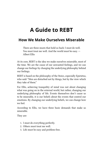### **A Guide to REBT**

#### **How We Make Ourselves Miserable**

There are three musts that hold us back: I must do well. You must treat me well. And the world must be easy. — Albert Ellis

At its core, REBT is the idea we make ourselves miserable, most of the time. We are the cause of our unwanted feelings, and we can change our feelings by changing the underlying philosophy behind our feelings.

REBT is based on the philosophy of the Stoics, especially Epictetus, who said: "Men are disturbed not by things, but by the view which they take of them."

For Ellis, achieving tranquility of mind was not about changing what was going on in the external world, but rather, changing our underlying philosophy of life. Events themselves don't cause us to be miserable, it is our beliefs about the events that control our emotions. By changing our underlying beliefs, we can change how we feel.

According to Ellis, we have three basic demands that make us miserable.

They are:

- 1. I must do everything perfectly.
- 2. Others must treat me well.
- 3. Life must be easy and problem-free.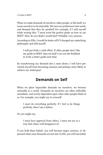When we make demands of ourselves, other people, or life itself, we cause ourselves to be miserable. We turn our preferences into needs, and demand that they be satisfied! For example, if I told myself while writing this: "I must write the perfect guide on how to use REBT." How do you think I would feel? Probably very anxious.

According to Ellis, I would be better off if I changed my underlying philosophy and told myself:

I will put forth a solid effort. If other people don't like my guide to REBT, then too bad! I can use the feedback to write a better guide next time.

By transforming my demand into a mere desire, I will have prevented myself from becoming anxious and perhaps more likely to achieve my stated goal.

#### **Demands on Self**

<span id="page-8-0"></span>When we place impossible demands on ourselves, we become miserable as a result. Demands on ourselves are often inflexible, unrealistic, and overly dependent upon what other people think of us. For example, you might say to yourself:

I must do everything perfectly. If I fail to do things perfectly, then I am a failure.

Or you might say,

I must have approval from others. I must not act in a way that others will disapprove of.

If you hold these beliefs, you will become angry, anxious, or depressed when your demands are not met. In life, you will inevitably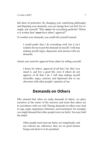fall short of perfection. By changing your underlying philosophy and disputing your demands, you can change how you feel. For example, ask yourself: "Why **must** I do everything perfectly? Where is it written that I **must** have others' approval?"

To combat your demands, you could tell yourself instead:

I would prefer that I do everything well, but it isn't realistic for me to put this demand on myself. I will stop making myself angry, depressed, and anxious with my demands.

Attack your need for approval from others by telling yourself:

I desire for others' approval of all that I do. But I can stand it, and live a good life, even if others do not approve of all that I do. I will stop making myself miserable, angry, anxious, and depressed due to my obsession with other people's opinions of me.

#### **Demands on Others**

<span id="page-9-0"></span>Ellis claimed that when we make demands of others, we place ourselves at the center of the universe and insist that others act in accordance with our will. Placing demands on others may lead to rage, anger, impatience, bitterness, and resentment. For example, you might demand that other people treat you fairly. You may hold the belief:

Other people must treat me fairly, act competently, and not criticize me, otherwise, they are no good human beings and deserve to be punished.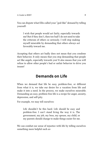You can dispute what Ellis called your "god-like" demand by telling yourself:

I wish that people would act fairly, especially towards me! But if they don't, then too bad! I do not need to take the criticism of others so seriously. I will stop making myself miserable by demanding that others always act favorably toward me.

Accepting that others act badly does not mean that you condone their behavior. It only means that you stop demanding that people act like angels, especially towards you! It also means that you will refuse to allow other people's bad or unfair behavior to drive you insane!

#### **Demands on Life**

When we demand that life be easy, problem-free, or different from what it is, we take our desire for a vacation from life and make it into a need. In the process, we make ourselves miserable. Demanding an easy, problem-free life is a recipe for anger, anxiety, depression, and self-pity.

For example, we may tell ourselves:

Life shouldn't be this hard. Life should be easy and problem-free. I can't stand living the way it is. The government, my job, my boss, my spouse, my child, or my parents should change to make things easier for me.

We can combat our sense of injustice with life by telling ourselves something more helpful such as: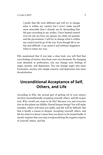I prefer that life were different and will try to change what is within my control, but I won't make myself more miserable than I already am by demanding that life goes according to my wishes. I have limited control over my job, my boss, my spouse, my child, my parents, and the government. I will try to change what is within my control and let go of the rest. Even though life is unfair and difficult, I can stand it and embrace happiness when it comes my way.

Ellis maintained that if you take a close look, you will find that your feelings of misery stem from your own demands. By changing your demands to preferences, you can change your feelings of anger, anxiety, and depression. You can change anger into mere frustration, anxiety into simple concern, and depression into mere dissatisfaction.

### **Unconditional Acceptance of Self, Others, and Life**

According to Ellis, the second part of getting rid of your misery involves unconditionally accepting yourself, others, and life in general. Why would you want to do this? Because you and everyone else on this planet are fallible, flawed human beings! You will make mistakes, others will treat you badly, and life will be difficult. But that is hardly a reason to despair. Accepting yourself, others, and life for what it is doesn't mean that you desire to be treated badly. It merely requires that you stop overgeneralizing the negative aspects of yourself, others, and life.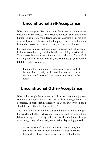#### **Unconditional Self-Acceptance**

When we overgeneralize about our flaws, we make ourselves miserable in the process. By accepting yourself as a worthwhile human being despite your flaws you can decrease your feelings of worthlessness. Ellis says that although you are a flawed human being who makes mistakes, that hardly makes you inhuman.

For example, suppose that you make a mistake or treat someone badly. You could make yourself miserable by holding onto the belief, "I am a terrible human being for acting in such a way." Instead of berating yourself for your mistake, you could accept your human fallibility, telling yourself:

I am a fallible human being who makes mistakes. Just because I acted badly in the past does not make me a terrible, awful person. I can strive to do better in the future.

#### <span id="page-12-0"></span>**Unconditional Other-Acceptance**

When other people fail to treat us with respect, do not enjoy our company, or simply ignore us, this can make us angry, anxious, or depressed. In such circumstances, we may tell ourselves, "I can't stand it when others treat me unfairly!"

The truth said Ellis, is that you can stand it, and even live a happy life even though others behave badly towards you from time to time. Ellis encourages us to accept others as worthwhile human beings even though they behave badly on occasion. Try telling yourself:

Other people will treat me badly from time to time, but that does not make them inhuman. In fact, there are times when I have treated others badly, yet that hardly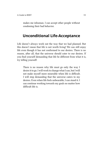makes me inhuman. I can accept other people without condoning their bad behavior.

#### <span id="page-13-0"></span>**Unconditional Life-Acceptance**

Life doesn't always work out the way that we had planned. But this doesn't mean that life is not worth living! We can still enjoy life even though it has not conformed to our desires. There is no reason, after all, that the universe should cater to our desires. If you find yourself demanding that life be different from what it is, try telling yourself:

There is no reason why life must go only the way I desire it to go. I will work to change what I can, but I will not make myself more miserable when life is difficult. I will stop demanding that the universe caters to my desires. Even when life feels unbearable, I can stand it. I can continue working towards my goals no matter how difficult life is.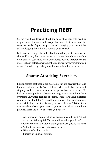### <span id="page-14-0"></span>**Practicing REBT**

So far, you have learned about the tools that you will need to dispute your demands and accept that your desires are not the same as needs. Begin the practice of changing your beliefs by acknowledging that which is beyond your control.

Is it worth feeling miserable about something which cannot be changed? If not, then work instead to change that which is within your control, especially your demanding beliefs. Preferences are great, but don't start demanding that you must have everything you desire. You will only make yourself more miserable in the process.

#### <span id="page-14-1"></span>**Shame-Attacking Exercises**

Ellis suggested that people are miserable, in part, because they take themselves too seriously. We feel shame when we feel as if we acted stupidly, and we evaluate our entire personhood as a result. He had his clients perform "shame-attacking" exercises to help them overcome unwanted feelings of shame. Shame-attacking exercises can help you stop taking yourself too seriously. The exercises may sound ridiculous, but that is partly because they are! Rather than over-intellectualizing your misery, you can start doing something practical. Here are a few exercises you can try:

- Ask someone you don't know: "Excuse me, but I just got out of the mental hospital. Can you tell me what year it is?"
- Ride a crowded elevator standing backward (facing the rear).
- Yell out five successive stops on the bus.
- Wear a ridiculous outfit.
- Express an unusual opinion.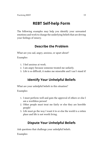### **REBT Self-help Form**

<span id="page-15-0"></span>The following examples may help you identify your unwanted emotions and work to change the underlying beliefs that are driving your feelings of misery.

#### **Describe the Problem**

What are you sad, angry, anxious, or upset about?

Examples:

- 1. I feel anxious at work.
- 2. I am angry because someone treated me unfairly.
- 3. Life is so difficult, it makes me miserable and I can't stand it!

#### **Identify Your Unhelpful Beliefs**

What are your unhelpful beliefs in this situation?

Examples:

- 1. I must perform well and gain the approval of others or else I am a worthless person!
- 2. Other people must treat me fairly or else they are horrible people!
- 3. Life must go the way I want it to or else the world is a rotten place and life is not worth living.

#### **Dispute Your Unhelpful Beliefs**

Ask questions that challenge your unhelpful beliefs.

Examples: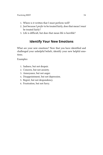- 1. Where is it written that I must perform well?
- 2. Just because I *prefer* to be treated fairly, does that mean I *must* be treated fairly?
- 3. Life is difficult, but does that mean life is horrible?

#### **Identify Your New Emotions**

What are your new emotions? Now that you have identified and challenged your unhelpful beliefs, identify your new helpful emotions.

Examples:

- 1. Sadness, but not despair.
- 2. Concern, but not anxiety.
- 3. Annoyance, but not anger.
- 4. Disappointment, but not depression.
- 5. Regret, but not despondency.
- 6. Frustration, but not furry.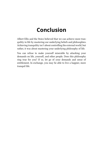### **Conclusion**

<span id="page-17-0"></span>Albert Ellis and the Stoics believed that we can achieve more tranquility in life by mastering our underlying beliefs and philosophies. Achieving tranquility isn't about controlling the external world, but rather, it was about mastering your underlying philosophy of life.

You can refuse to make yourself miserable by attacking your demands on life, yourself, and other people. Does this philosophy ring true for you? If so, let go of your demands and sense of entitlement. In exchange, you may be able to live a happier, more tranquil life.